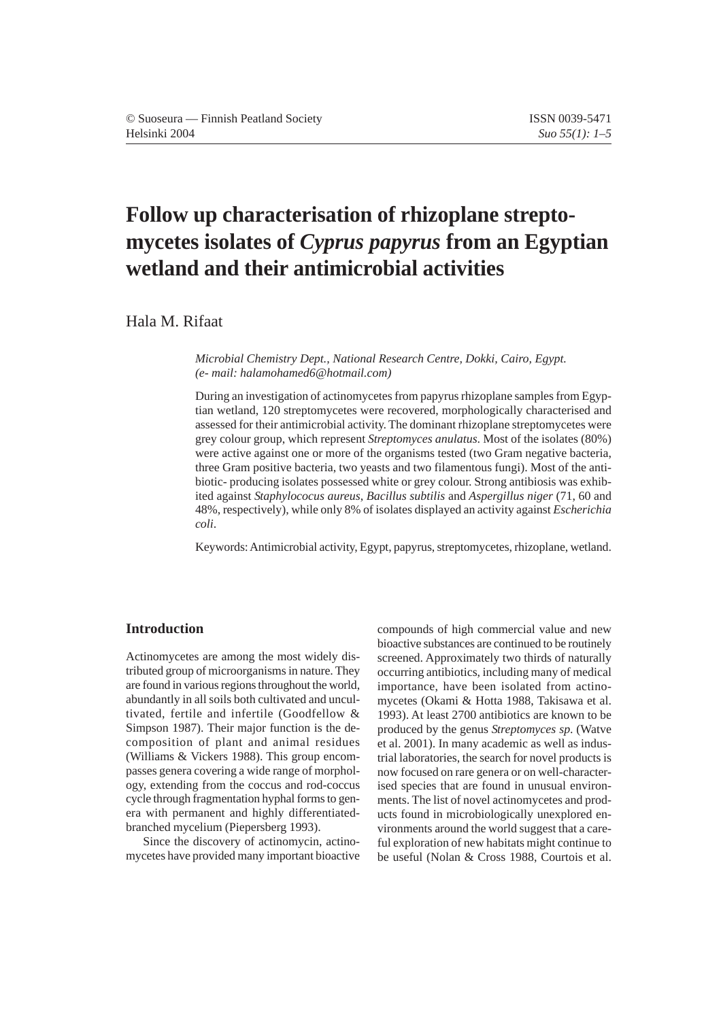# **Follow up characterisation of rhizoplane streptomycetes isolates of** *Cyprus papyrus* **from an Egyptian wetland and their antimicrobial activities**

Hala M. Rifaat

*Microbial Chemistry Dept., National Research Centre, Dokki, Cairo, Egypt. (e- mail: halamohamed6@hotmail.com)*

During an investigation of actinomycetes from papyrus rhizoplane samples from Egyptian wetland, 120 streptomycetes were recovered, morphologically characterised and assessed for their antimicrobial activity. The dominant rhizoplane streptomycetes were grey colour group, which represent *Streptomyces anulatus*. Most of the isolates (80%) were active against one or more of the organisms tested (two Gram negative bacteria, three Gram positive bacteria, two yeasts and two filamentous fungi). Most of the antibiotic- producing isolates possessed white or grey colour. Strong antibiosis was exhibited against *Staphylococus aureus*, *Bacillus subtilis* and *Aspergillus niger* (71, 60 and 48%, respectively), while only 8% of isolates displayed an activity against *Escherichia coli*.

Keywords: Antimicrobial activity, Egypt, papyrus, streptomycetes, rhizoplane, wetland.

## **Introduction**

Actinomycetes are among the most widely distributed group of microorganisms in nature. They are found in various regions throughout the world, abundantly in all soils both cultivated and uncultivated, fertile and infertile (Goodfellow & Simpson 1987). Their major function is the decomposition of plant and animal residues (Williams & Vickers 1988). This group encompasses genera covering a wide range of morphology, extending from the coccus and rod-coccus cycle through fragmentation hyphal forms to genera with permanent and highly differentiatedbranched mycelium (Piepersberg 1993).

Since the discovery of actinomycin, actinomycetes have provided many important bioactive compounds of high commercial value and new bioactive substances are continued to be routinely screened. Approximately two thirds of naturally occurring antibiotics, including many of medical importance, have been isolated from actinomycetes (Okami & Hotta 1988, Takisawa et al. 1993). At least 2700 antibiotics are known to be produced by the genus *Streptomyces sp*. (Watve et al. 2001). In many academic as well as industrial laboratories, the search for novel products is now focused on rare genera or on well-characterised species that are found in unusual environments. The list of novel actinomycetes and products found in microbiologically unexplored environments around the world suggest that a careful exploration of new habitats might continue to be useful (Nolan & Cross 1988, Courtois et al.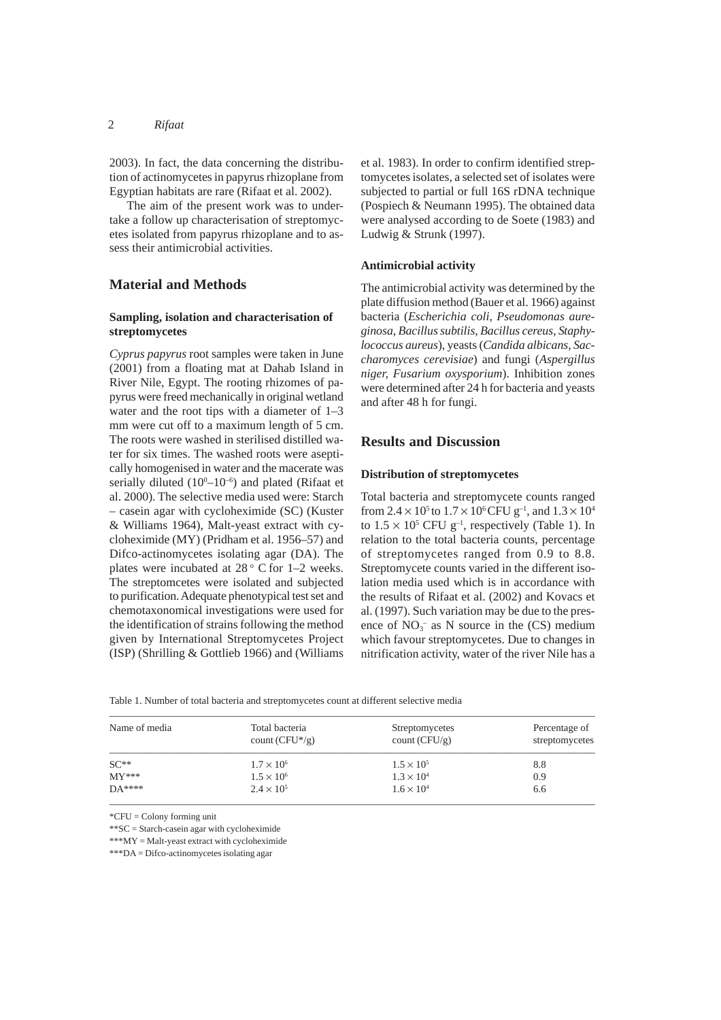## 2 *Rifaat*

2003). In fact, the data concerning the distribution of actinomycetes in papyrus rhizoplane from Egyptian habitats are rare (Rifaat et al. 2002).

The aim of the present work was to undertake a follow up characterisation of streptomycetes isolated from papyrus rhizoplane and to assess their antimicrobial activities.

## **Material and Methods**

## **Sampling, isolation and characterisation of streptomycetes**

*Cyprus papyrus* root samples were taken in June (2001) from a floating mat at Dahab Island in River Nile, Egypt. The rooting rhizomes of papyrus were freed mechanically in original wetland water and the root tips with a diameter of 1–3 mm were cut off to a maximum length of 5 cm. The roots were washed in sterilised distilled water for six times. The washed roots were aseptically homogenised in water and the macerate was serially diluted  $(10^{0} - 10^{-6})$  and plated (Rifaat et al. 2000). The selective media used were: Starch – casein agar with cycloheximide (SC) (Kuster & Williams 1964), Malt-yeast extract with cycloheximide (MY) (Pridham et al. 1956–57) and Difco-actinomycetes isolating agar (DA). The plates were incubated at  $28^\circ$  C for 1–2 weeks. The streptomcetes were isolated and subjected to purification. Adequate phenotypical test set and chemotaxonomical investigations were used for the identification of strains following the method given by International Streptomycetes Project (ISP) (Shrilling & Gottlieb 1966) and (Williams

et al. 1983). In order to confirm identified streptomycetes isolates, a selected set of isolates were subjected to partial or full 16S rDNA technique (Pospiech & Neumann 1995). The obtained data were analysed according to de Soete (1983) and Ludwig & Strunk (1997).

#### **Antimicrobial activity**

The antimicrobial activity was determined by the plate diffusion method (Bauer et al. 1966) against bacteria (*Escherichia coli*, *Pseudomonas aureginosa*, *Bacillus subtilis*, *Bacillus cereus*, *Staphylococcus aureus*), yeasts (*Candida albicans, Saccharomyces cerevisiae*) and fungi (*Aspergillus niger, Fusarium oxysporium*). Inhibition zones were determined after 24 h for bacteria and yeasts and after 48 h for fungi.

## **Results and Discussion**

#### **Distribution of streptomycetes**

Total bacteria and streptomycete counts ranged from  $2.4 \times 10^5$  to  $1.7 \times 10^6$  CFU g<sup>-1</sup>, and  $1.3 \times 10^4$ to  $1.5 \times 10^5$  CFU g<sup>-1</sup>, respectively (Table 1). In relation to the total bacteria counts, percentage of streptomycetes ranged from 0.9 to 8.8. Streptomycete counts varied in the different isolation media used which is in accordance with the results of Rifaat et al. (2002) and Kovacs et al. (1997). Such variation may be due to the presence of  $NO_3^-$  as N source in the (CS) medium which favour streptomycetes. Due to changes in nitrification activity, water of the river Nile has a

| Table 1. Number of total bacteria and streptomycetes count at different selective media |  |
|-----------------------------------------------------------------------------------------|--|
|-----------------------------------------------------------------------------------------|--|

| Name of media | Total bacteria<br>count $(CFU^*/g)$ | Streptomycetes<br>count $(CFU/g)$ | Percentage of<br>streptomycetes |
|---------------|-------------------------------------|-----------------------------------|---------------------------------|
| $SC**$        | $1.7 \times 10^{6}$                 | $1.5 \times 10^{5}$               | 8.8                             |
| $MY***$       | $1.5 \times 10^{6}$                 | $1.3 \times 10^{4}$               | 0.9                             |
| $DA***$       | $2.4 \times 10^{5}$                 | $1.6 \times 10^{4}$               | 6.6                             |

\*CFU = Colony forming unit

\*\*SC = Starch-casein agar with cycloheximide

\*\*\*MY = Malt-yeast extract with cycloheximide

\*\*\*DA = Difco-actinomycetes isolating agar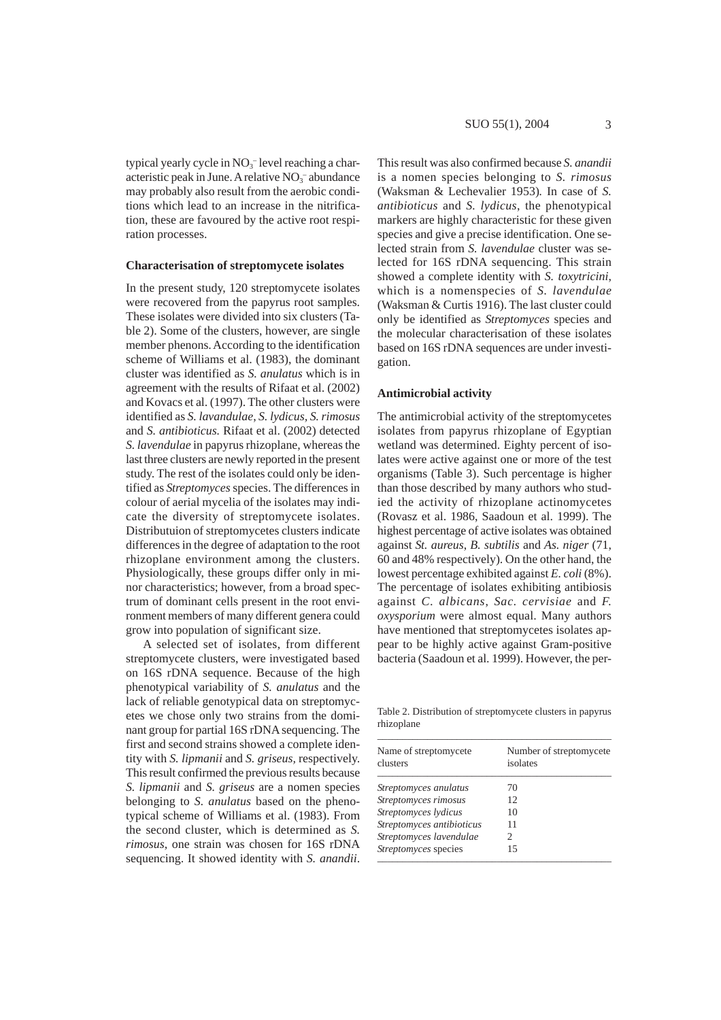typical yearly cycle in  $NO<sub>3</sub><sup>-</sup>$  level reaching a characteristic peak in June. A relative  $NO<sub>3</sub><sup>-</sup>$  abundance may probably also result from the aerobic conditions which lead to an increase in the nitrification, these are favoured by the active root respiration processes.

#### **Characterisation of streptomycete isolates**

In the present study, 120 streptomycete isolates were recovered from the papyrus root samples. These isolates were divided into six clusters (Table 2). Some of the clusters, however, are single member phenons. According to the identification scheme of Williams et al. (1983), the dominant cluster was identified as *S. anulatus* which is in agreement with the results of Rifaat et al. (2002) and Kovacs et al. (1997). The other clusters were identified as *S. lavandulae*, *S. lydicus, S. rimosus* and *S. antibioticus.* Rifaat et al. (2002) detected *S. lavendulae* in papyrus rhizoplane, whereas the last three clusters are newly reported in the present study. The rest of the isolates could only be identified as *Streptomyces* species. The differences in colour of aerial mycelia of the isolates may indicate the diversity of streptomycete isolates. Distributuion of streptomycetes clusters indicate differences in the degree of adaptation to the root rhizoplane environment among the clusters. Physiologically, these groups differ only in minor characteristics; however, from a broad spectrum of dominant cells present in the root environment members of many different genera could grow into population of significant size.

A selected set of isolates, from different streptomycete clusters, were investigated based on 16S rDNA sequence. Because of the high phenotypical variability of *S. anulatus* and the lack of reliable genotypical data on streptomycetes we chose only two strains from the dominant group for partial 16S rDNA sequencing. The first and second strains showed a complete identity with *S. lipmanii* and *S. griseus,* respectively. This result confirmed the previous results because *S. lipmanii* and *S. griseus* are a nomen species belonging to *S. anulatus* based on the phenotypical scheme of Williams et al. (1983). From the second cluster, which is determined as *S. rimosus*, one strain was chosen for 16S rDNA sequencing. It showed identity with *S. anandii*.

This result was also confirmed because *S. anandii* is a nomen species belonging to *S. rimosus* (Waksman & Lechevalier 1953)*.* In case of *S. antibioticus* and *S. lydicus*, the phenotypical markers are highly characteristic for these given species and give a precise identification. One selected strain from *S. lavendulae* cluster was selected for 16S rDNA sequencing. This strain showed a complete identity with *S. toxytricini*, which is a nomenspecies of *S. lavendulae* (Waksman & Curtis 1916). The last cluster could only be identified as *Streptomyces* species and the molecular characterisation of these isolates based on 16S rDNA sequences are under investigation.

#### **Antimicrobial activity**

The antimicrobial activity of the streptomycetes isolates from papyrus rhizoplane of Egyptian wetland was determined. Eighty percent of isolates were active against one or more of the test organisms (Table 3). Such percentage is higher than those described by many authors who studied the activity of rhizoplane actinomycetes (Rovasz et al. 1986, Saadoun et al. 1999). The highest percentage of active isolates was obtained against *St. aureus*, *B. subtilis* and *As. niger* (71, 60 and 48% respectively). On the other hand, the lowest percentage exhibited against *E. coli* (8%). The percentage of isolates exhibiting antibiosis against *C. albicans*, *Sac. cervisiae* and *F. oxysporium* were almost equal. Many authors have mentioned that streptomycetes isolates appear to be highly active against Gram-positive bacteria (Saadoun et al. 1999). However, the per-

Table 2. Distribution of streptomycete clusters in papyrus rhizoplane

| Name of streptomycete<br>clusters | Number of streptomycete<br>isolates |  |  |  |
|-----------------------------------|-------------------------------------|--|--|--|
| Streptomyces anulatus             | 70                                  |  |  |  |
| Streptomyces rimosus              | 12                                  |  |  |  |
| Streptomyces lydicus              | 10                                  |  |  |  |
| Streptomyces antibioticus         | 11                                  |  |  |  |
| Streptomyces lavendulae           | 2                                   |  |  |  |
| Streptomyces species              | 15                                  |  |  |  |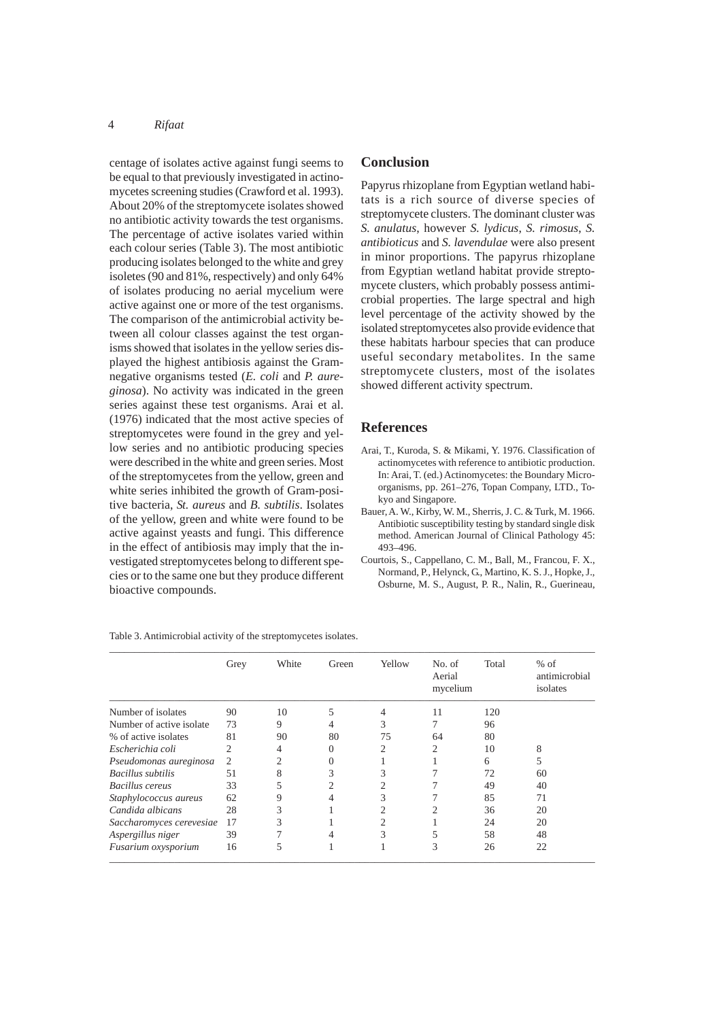## 4 *Rifaat*

centage of isolates active against fungi seems to be equal to that previously investigated in actinomycetes screening studies (Crawford et al. 1993). About 20% of the streptomycete isolates showed no antibiotic activity towards the test organisms. The percentage of active isolates varied within each colour series (Table 3). The most antibiotic producing isolates belonged to the white and grey isoletes (90 and 81%, respectively) and only 64% of isolates producing no aerial mycelium were active against one or more of the test organisms. The comparison of the antimicrobial activity between all colour classes against the test organisms showed that isolates in the yellow series displayed the highest antibiosis against the Gramnegative organisms tested (*E. coli* and *P. aureginosa*). No activity was indicated in the green series against these test organisms. Arai et al. (1976) indicated that the most active species of streptomycetes were found in the grey and yellow series and no antibiotic producing species were described in the white and green series. Most of the streptomycetes from the yellow, green and white series inhibited the growth of Gram-positive bacteria, *St. aureus* and *B. subtilis*. Isolates of the yellow, green and white were found to be active against yeasts and fungi. This difference in the effect of antibiosis may imply that the investigated streptomycetes belong to different species or to the same one but they produce different bioactive compounds.

## **Conclusion**

Papyrus rhizoplane from Egyptian wetland habitats is a rich source of diverse species of streptomycete clusters. The dominant cluster was *S. anulatus*, however *S. lydicus*, *S. rimosus*, *S. antibioticus* and *S. lavendulae* were also present in minor proportions. The papyrus rhizoplane from Egyptian wetland habitat provide streptomycete clusters, which probably possess antimicrobial properties. The large spectral and high level percentage of the activity showed by the isolated streptomycetes also provide evidence that these habitats harbour species that can produce useful secondary metabolites. In the same streptomycete clusters, most of the isolates showed different activity spectrum.

### **References**

- Arai, T., Kuroda, S. & Mikami, Y. 1976. Classification of actinomycetes with reference to antibiotic production. In: Arai, T. (ed.) Actinomycetes: the Boundary Microorganisms, pp. 261–276, Topan Company, LTD., Tokyo and Singapore.
- Bauer, A. W., Kirby, W. M., Sherris, J. C. & Turk, M. 1966. Antibiotic susceptibility testing by standard single disk method. American Journal of Clinical Pathology 45: 493–496.
- Courtois, S., Cappellano, C. M., Ball, M., Francou, F. X., Normand, P., Helynck, G., Martino, K. S. J., Hopke, J., Osburne, M. S., August, P. R., Nalin, R., Guerineau,

|                          | Grey | White | Green | Yellow | No. of<br>Aerial<br>mycelium | Total | $%$ of<br>antimicrobial<br>isolates |
|--------------------------|------|-------|-------|--------|------------------------------|-------|-------------------------------------|
| Number of isolates       | 90   | 10    | 5     | 4      | 11                           | 120   |                                     |
| Number of active isolate | 73   | 9     | 4     | 3      |                              | 96    |                                     |
| % of active isolates     | 81   | 90    | 80    | 75     | 64                           | 80    |                                     |
| Escherichia coli         | 2    | 4     | 0     | 2      | 2                            | 10    | 8                                   |
| Pseudomonas aureginosa   | 2    | 2     | 0     |        |                              | 6     | 5                                   |
| Bacillus subtilis        | 51   | 8     | 3     | 3      |                              | 72    | 60                                  |
| Bacillus cereus          | 33   | 5     | 2     | 2      |                              | 49    | 40                                  |
| Staphylococcus aureus    | 62   | 9     | 4     | 3      |                              | 85    | 71                                  |
| Candida albicans         | 28   | 3     |       | 2      |                              | 36    | 20                                  |
| Saccharomyces cerevesiae | 17   | 3     |       | 2      |                              | 24    | 20                                  |
| Aspergillus niger        | 39   |       | 4     | 3      | 5                            | 58    | 48                                  |
| Fusarium oxysporium      | 16   | 5     |       |        | 3                            | 26    | 22                                  |

Table 3. Antimicrobial activity of the streptomycetes isolates.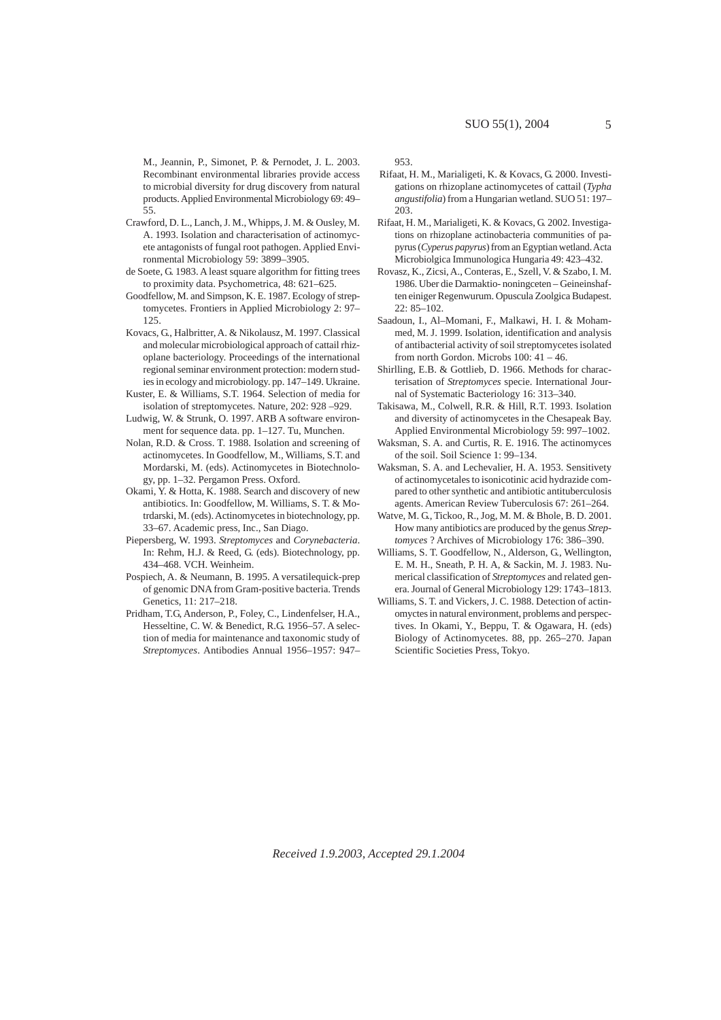M., Jeannin, P., Simonet, P. & Pernodet, J. L. 2003. Recombinant environmental libraries provide access to microbial diversity for drug discovery from natural products. Applied Environmental Microbiology 69: 49– 55.

- Crawford, D. L., Lanch, J. M., Whipps, J. M. & Ousley, M. A. 1993. Isolation and characterisation of actinomycete antagonists of fungal root pathogen. Applied Environmental Microbiology 59: 3899–3905.
- de Soete, G. 1983. A least square algorithm for fitting trees to proximity data. Psychometrica, 48: 621–625.
- Goodfellow, M. and Simpson, K. E. 1987. Ecology of streptomycetes. Frontiers in Applied Microbiology 2: 97– 125.
- Kovacs, G., Halbritter, A. & Nikolausz, M. 1997. Classical and molecular microbiological approach of cattail rhizoplane bacteriology. Proceedings of the international regional seminar environment protection: modern studies in ecology and microbiology. pp. 147–149. Ukraine.
- Kuster, E. & Williams, S.T. 1964. Selection of media for isolation of streptomycetes. Nature, 202: 928 –929.
- Ludwig, W. & Strunk, O. 1997. ARB A software environment for sequence data. pp. 1–127. Tu, Munchen.
- Nolan, R.D. & Cross. T. 1988. Isolation and screening of actinomycetes. In Goodfellow, M., Williams, S.T. and Mordarski, M. (eds). Actinomycetes in Biotechnology, pp. 1–32. Pergamon Press. Oxford.
- Okami, Y. & Hotta, K. 1988. Search and discovery of new antibiotics. In: Goodfellow, M. Williams, S. T. & Motrdarski, M. (eds). Actinomycetes in biotechnology, pp. 33–67. Academic press, Inc., San Diago.
- Piepersberg, W. 1993. *Streptomyces* and *Corynebacteria*. In: Rehm, H.J. & Reed, G. (eds). Biotechnology, pp. 434–468. VCH. Weinheim.
- Pospiech, A. & Neumann, B. 1995. A versatilequick-prep of genomic DNA from Gram-positive bacteria. Trends Genetics, 11: 217–218.
- Pridham, T.G, Anderson, P., Foley, C., Lindenfelser, H.A., Hesseltine, C. W. & Benedict, R.G. 1956–57. A selection of media for maintenance and taxonomic study of *Streptomyces*. Antibodies Annual 1956–1957: 947–

953.

- Rifaat, H. M., Marialigeti, K. & Kovacs, G. 2000. Investigations on rhizoplane actinomycetes of cattail (*Typha angustifolia*) from a Hungarian wetland. SUO 51: 197– 203.
- Rifaat, H. M., Marialigeti, K. & Kovacs, G. 2002. Investigations on rhizoplane actinobacteria communities of papyrus (*Cyperus papyrus*) from an Egyptian wetland. Acta Microbiolgica Immunologica Hungaria 49: 423–432.
- Rovasz, K., Zicsi, A., Conteras, E., Szell, V. & Szabo, I. M. 1986. Uber die Darmaktio- noningceten – Geineinshaften einiger Regenwurum. Opuscula Zoolgica Budapest.  $22: 85 - 102.$
- Saadoun, I., Al–Momani, F., Malkawi, H. I. & Mohammed, M. J. 1999. Isolation, identification and analysis of antibacterial activity of soil streptomycetes isolated from north Gordon. Microbs 100: 41 – 46.
- Shirlling, E.B. & Gottlieb, D. 1966. Methods for characterisation of *Streptomyces* specie. International Journal of Systematic Bacteriology 16: 313–340.
- Takisawa, M., Colwell, R.R. & Hill, R.T. 1993. Isolation and diversity of actinomycetes in the Chesapeak Bay. Applied Environmental Microbiology 59: 997–1002.
- Waksman, S. A. and Curtis, R. E. 1916. The actinomyces of the soil. Soil Science 1: 99–134.
- Waksman, S. A. and Lechevalier, H. A. 1953. Sensitivety of actinomycetales to isonicotinic acid hydrazide compared to other synthetic and antibiotic antituberculosis agents. American Review Tuberculosis 67: 261–264.
- Watve, M. G., Tickoo, R., Jog, M. M. & Bhole, B. D. 2001. How many antibiotics are produced by the genus *Streptomyces* ? Archives of Microbiology 176: 386–390.
- Williams, S. T. Goodfellow, N., Alderson, G., Wellington, E. M. H., Sneath, P. H. A, & Sackin, M. J. 1983. Numerical classification of *Streptomyces* and related genera. Journal of General Microbiology 129: 1743–1813.
- Williams, S. T. and Vickers, J. C. 1988. Detection of actinomyctes in natural environment, problems and perspectives. In Okami, Y., Beppu, T. & Ogawara, H. (eds) Biology of Actinomycetes. 88, pp. 265–270. Japan Scientific Societies Press, Tokyo.

*Received 1.9.2003, Accepted 29.1.2004*